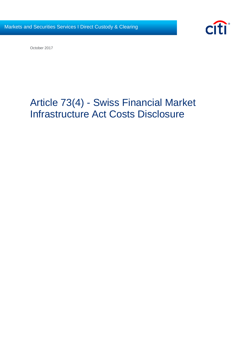

October 2017

# Article 73(4) - Swiss Financial Market Infrastructure Act Costs Disclosure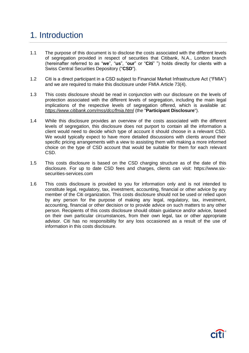# 1. Introduction

- 1.1 The purpose of this document is to disclose the costs associated with the different levels of segregation provided in respect of securities that Citibank, N.A., London branch (hereinafter referred to as "**we**", "**us**", "**our**" or "**Citi**" ") holds directly for clients with a Swiss Central Securities Depository ("**CSD**").
- 1.2 Citi is a direct participant in a CSD subject to Financial Market Infrastructure Act ("FMIA") and we are required to make this disclosure under FMIA Article 73(4).
- 1.3 This costs disclosure should be read in conjunction with our disclosure on the levels of protection associated with the different levels of segregation, including the main legal implications of the respective levels of segregation offered, which is available at: *https://www.citibank.com/mss/dcc/fmia.html* (the "**Participant Disclosure**").
- 1.4 While this disclosure provides an overview of the costs associated with the different levels of segregation, this disclosure does not purport to contain all the information a client would need to decide which type of account it should choose in a relevant CSD. We would typically expect to have more detailed discussions with clients around their specific pricing arrangements with a view to assisting them with making a more informed choice on the type of CSD account that would be suitable for them for each relevant CSD.
- 1.5 This costs disclosure is based on the CSD charging structure as of the date of this disclosure. For up to date CSD fees and charges, clients can visit: https://www.sixsecurities-services.com
- 1.6 This costs disclosure is provided to you for information only and is not intended to constitute legal, regulatory, tax, investment, accounting, financial or other advice by any member of the Citi organization. This costs disclosure should not be used or relied upon by any person for the purpose of making any legal, regulatory, tax, investment, accounting, financial or other decision or to provide advice on such matters to any other person. Recipients of this costs disclosure should obtain guidance and/or advice, based on their own particular circumstances, from their own legal, tax or other appropriate advisor. Citi has no responsibility for any loss occasioned as a result of the use of information in this costs disclosure.

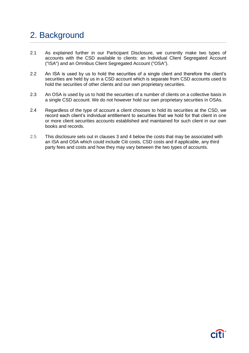# 2. Background

- 2.1 As explained further in our Participant Disclosure, we currently make two types of accounts with the CSD available to clients: an Individual Client Segregated Account ("ISA") and an Omnibus Client Segregated Account ("OSA").
- 2.2 An ISA is used by us to hold the securities of a single client and therefore the client's securities are held by us in a CSD account which is separate from CSD accounts used to hold the securities of other clients and our own proprietary securities.
- 2.3 An OSA is used by us to hold the securities of a number of clients on a collective basis in a single CSD account. We do not however hold our own proprietary securities in OSAs.
- 2.4 Regardless of the type of account a client chooses to hold its securities at the CSD, we record each client's individual entitlement to securities that we hold for that client in one or more client securities accounts established and maintained for such client in our own books and records.
- 2.5 This disclosure sets out in clauses 3 and 4 below the costs that may be associated with an ISA and OSA which could include Citi costs, CSD costs and if applicable, any third party fees and costs and how they may vary between the two types of accounts.

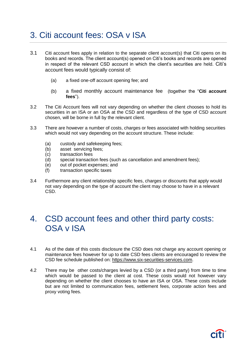# 3. Citi account fees: OSA v ISA

- 3.1 Citi account fees apply in relation to the separate client account(s) that Citi opens on its books and records. The client account(s) opened on Citi's books and records are opened in respect of the relevant CSD account in which the client's securities are held. Citi's account fees would typically consist of:
	- (a) a fixed one-off account opening fee; and
	- (b) a fixed monthly account maintenance fee (together the "**Citi account fees**").
- 3.2 The Citi Account fees will not vary depending on whether the client chooses to hold its securities in an ISA or an OSA at the CSD and regardless of the type of CSD account chosen, will be borne in full by the relevant client.
- 3.3 There are however a number of costs, charges or fees associated with holding securities which would not vary depending on the account structure. These include:
	- (a) custody and safekeeping fees;<br>(b) asset servicing fees;
	- asset servicing fees;
	- (c) transaction fees
	- (d) special transaction fees (such as cancellation and amendment fees);
	- (e) out of pocket expenses; and
	- (f) transaction specific taxes
- 3.4 Furthermore any client relationship specific fees, charges or discounts that apply would not vary depending on the type of account the client may choose to have in a relevant CSD.

#### 4. CSD account fees and other third party costs: OSA v ISA

- 4.1 As of the date of this costs disclosure the CSD does not charge any account opening or maintenance fees however for up to date CSD fees clients are encouraged to review the CSD fee schedule published on: [https://www.six-securities-services.com.](https://www.six-securities-services.com/)
- 4.2 There may be other costs/charges levied by a CSD (or a third party) from time to time which would be passed to the client at cost. These costs would not however vary depending on whether the client chooses to have an ISA or OSA. These costs include but are not limited to communication fees, settlement fees, corporate action fees and proxy voting fees.